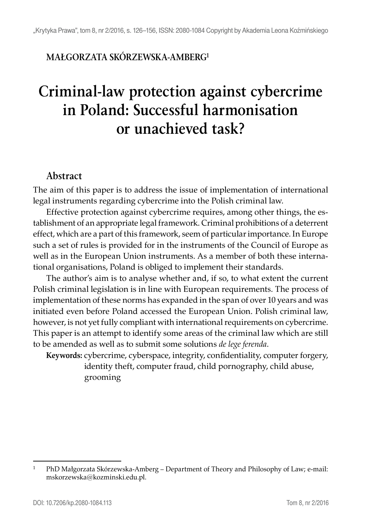## **MAŁGORZATA SKÓRZEWSKA-AMBERG1**

# **Criminal-law protection against cybercrime in Poland: Successful harmonisation or unachieved task?**

#### **Abstract**

The aim of this paper is to address the issue of implementation of international legal instruments regarding cybercrime into the Polish criminal law.

Effective protection against cybercrime requires, among other things, the establishment of an appropriate legal framework. Criminal prohibitions of a deterrent effect, which are a part of this framework, seem of particular importance. In Europe such a set of rules is provided for in the instruments of the Council of Europe as well as in the European Union instruments. As a member of both these international organisations, Poland is obliged to implement their standards.

The author's aim is to analyse whether and, if so, to what extent the current Polish criminal legislation is in line with European requirements. The process of implementation of these norms has expanded in the span of over 10 years and was initiated even before Poland accessed the European Union. Polish criminal law, however, is not yet fully compliant with international requirements on cybercrime. This paper is an attempt to identify some areas of the criminal law which are still to be amended as well as to submit some solutions *de lege ferenda*.

**Keywords:** cybercrime, cyberspace, integrity, confidentiality, computer forgery, identity theft, computer fraud, child pornography, child abuse, grooming

<sup>1</sup> PhD Małgorzata Skórzewska-Amberg – Department of Theory and Philosophy of Law; e-mail: mskorzewska@kozminski.edu.pl.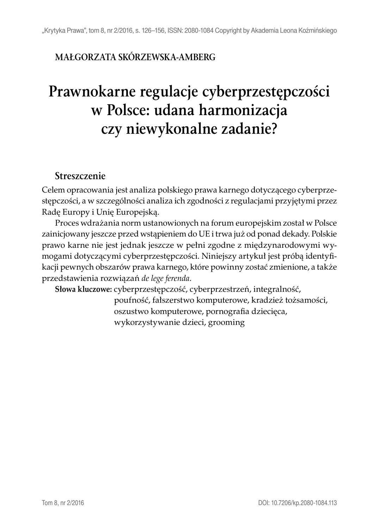## **MAŁGORZATA SKÓRZEWSKA-AMBERG**

# **Prawnokarne regulacje cyberprzestępczości w Polsce: udana harmonizacja czy niewykonalne zadanie?**

#### **Streszczenie**

Celem opracowania jest analiza polskiego prawa karnego dotyczącego cyberprzestępczości, a w szczególności analiza ich zgodności z regulacjami przyjętymi przez Radę Europy i Unię Europejską.

Proces wdrażania norm ustanowionych na forum europejskim został w Polsce zainicjowany jeszcze przed wstąpieniem do UE i trwa już od ponad dekady. Polskie prawo karne nie jest jednak jeszcze w pełni zgodne z międzynarodowymi wymogami dotyczącymi cyberprzestępczości. Niniejszy artykuł jest próbą identyfikacji pewnych obszarów prawa karnego, które powinny zostać zmienione, a także przedstawienia rozwiązań *de lege ferenda*.

**Słowa kluczowe:** cyberprzestępczość, cyberprzestrzeń, integralność,

poufność, fałszerstwo komputerowe, kradzież tożsamości, oszustwo komputerowe, pornografia dziecięca, wykorzystywanie dzieci, grooming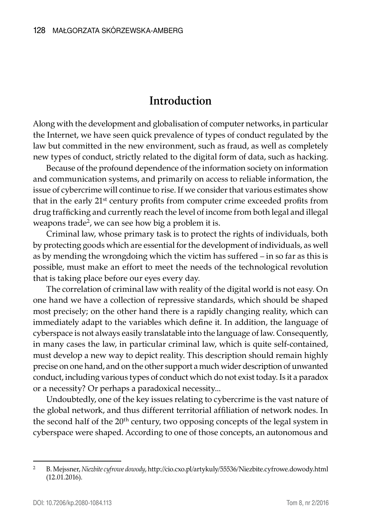## **Introduction**

Along with the development and globalisation of computer networks, in particular the Internet, we have seen quick prevalence of types of conduct regulated by the law but committed in the new environment, such as fraud, as well as completely new types of conduct, strictly related to the digital form of data, such as hacking.

Because of the profound dependence of the information society on information and communication systems, and primarily on access to reliable information, the issue of cybercrime will continue to rise. If we consider that various estimates show that in the early 21<sup>st</sup> century profits from computer crime exceeded profits from drug trafficking and currently reach the level of income from both legal and illegal weapons trade<sup>2</sup>, we can see how big a problem it is.

Criminal law, whose primary task is to protect the rights of individuals, both by protecting goods which are essential for the development of individuals, as well as by mending the wrongdoing which the victim has suffered – in so far as this is possible, must make an effort to meet the needs of the technological revolution that is taking place before our eyes every day.

The correlation of criminal law with reality of the digital world is not easy. On one hand we have a collection of repressive standards, which should be shaped most precisely; on the other hand there is a rapidly changing reality, which can immediately adapt to the variables which define it. In addition, the language of cyberspace is not always easily translatable into the language of law. Consequently, in many cases the law, in particular criminal law, which is quite self-contained, must develop a new way to depict reality. This description should remain highly precise on one hand, and on the other support a much wider description of unwanted conduct, including various types of conduct which do not exist today. Is it a paradox or a necessity? Or perhaps a paradoxical necessity...

Undoubtedly, one of the key issues relating to cybercrime is the vast nature of the global network, and thus different territorial affiliation of network nodes. In the second half of the 20<sup>th</sup> century, two opposing concepts of the legal system in cyberspace were shaped. According to one of those concepts, an autonomous and

<sup>2</sup> B. Mejssner, *Niezbite cyfrowe dowody*, http://cio.cxo.pl/artykuly/55536/Niezbite.cyfrowe.dowody.html (12.01.2016).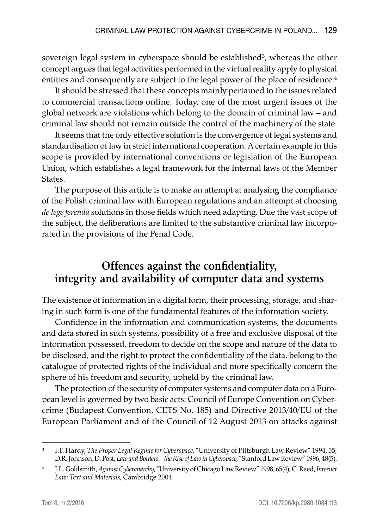sovereign legal system in cyberspace should be established<sup>3</sup>, whereas the other concept argues that legal activities performed in the virtual reality apply to physical entities and consequently are subject to the legal power of the place of residence.<sup>4</sup>

It should be stressed that these concepts mainly pertained to the issues related to commercial transactions online. Today, one of the most urgent issues of the global network are violations which belong to the domain of criminal law – and criminal law should not remain outside the control of the machinery of the state.

It seems that the only effective solution is the convergence of legal systems and standardisation of law in strict international cooperation. A certain example in this scope is provided by international conventions or legislation of the European Union, which establishes a legal framework for the internal laws of the Member States.

The purpose of this article is to make an attempt at analysing the compliance of the Polish criminal law with European regulations and an attempt at choosing *de lege ferenda* solutions in those fields which need adapting. Due the vast scope of the subject, the deliberations are limited to the substantive criminal law incorporated in the provisions of the Penal Code.

# **Offences against the confidentiality, integrity and availability of computer data and systems**

The existence of information in a digital form, their processing, storage, and sharing in such form is one of the fundamental features of the information society.

Confidence in the information and communication systems, the documents and data stored in such systems, possibility of a free and exclusive disposal of the information possessed, freedom to decide on the scope and nature of the data to be disclosed, and the right to protect the confidentiality of the data, belong to the catalogue of protected rights of the individual and more specifically concern the sphere of his freedom and security, upheld by the criminal law.

The protection of the security of computer systems and computer data on a European level is governed by two basic acts: Council of Europe Convention on Cybercrime (Budapest Convention, CETS No. 185) and Directive 2013/40/EU of the European Parliament and of the Council of 12 August 2013 on attacks against

<sup>3</sup> I.T. Hardy, *The Proper Legal Regime for Cyberspace*, "University of Pittsburgh Law Review" 1994, 55; D.R. Johnson, D. Post, *Law and Borders – the Rise of Law in Cyberspace*, "Stanford Law Review" 1996, 48(5).

<sup>4</sup> J.L. Goldsmith, *Against Cyberanarchy*, "University of Chicago Law Review" 1998, 65(4); C. Reed, *Internet Law: Text and Materials*, Cambridge 2004.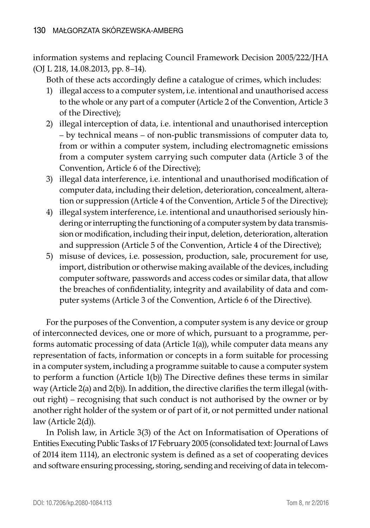information systems and replacing Council Framework Decision 2005/222/JHA (OJ L 218, 14.08.2013, pp. 8–14).

Both of these acts accordingly define a catalogue of crimes, which includes:

- 1) illegal access to a computer system, i.e. intentional and unauthorised access to the whole or any part of a computer (Article 2 of the Convention, Article 3 of the Directive);
- 2) illegal interception of data, i.e. intentional and unauthorised interception – by technical means – of non-public transmissions of computer data to, from or within a computer system, including electromagnetic emissions from a computer system carrying such computer data (Article 3 of the Convention, Article 6 of the Directive);
- 3) illegal data interference, i.e. intentional and unauthorised modification of computer data, including their deletion, deterioration, concealment, alteration or suppression (Article 4 of the Convention, Article 5 of the Directive);
- 4) illegal system interference, i.e. intentional and unauthorised seriously hindering or interrupting the functioning of a computer system by data transmission or modification, including their input, deletion, deterioration, alteration and suppression (Article 5 of the Convention, Article 4 of the Directive);
- 5) misuse of devices, i.e. possession, production, sale, procurement for use, import, distribution or otherwise making available of the devices, including computer software, passwords and access codes or similar data, that allow the breaches of confidentiality, integrity and availability of data and computer systems (Article 3 of the Convention, Article 6 of the Directive).

For the purposes of the Convention, a computer system is any device or group of interconnected devices, one or more of which, pursuant to a programme, performs automatic processing of data (Article 1(a)), while computer data means any representation of facts, information or concepts in a form suitable for processing in a computer system, including a programme suitable to cause a computer system to perform a function (Article 1(b)) The Directive defines these terms in similar way (Article 2(a) and 2(b)). In addition, the directive clarifies the term illegal (without right) – recognising that such conduct is not authorised by the owner or by another right holder of the system or of part of it, or not permitted under national law (Article 2(d)).

In Polish law, in Article 3(3) of the Act on Informatisation of Operations of Entities Executing Public Tasks of 17 February 2005 (consolidated text: Journal of Laws of 2014 item 1114), an electronic system is defined as a set of cooperating devices and software ensuring processing, storing, sending and receiving of data in telecom-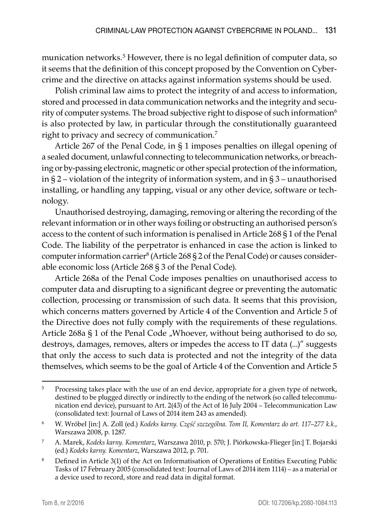munication networks.<sup>5</sup> However, there is no legal definition of computer data, so it seems that the definition of this concept proposed by the Convention on Cybercrime and the directive on attacks against information systems should be used.

Polish criminal law aims to protect the integrity of and access to information, stored and processed in data communication networks and the integrity and security of computer systems. The broad subjective right to dispose of such information<sup>6</sup> is also protected by law, in particular through the constitutionally guaranteed right to privacy and secrecy of communication.7

Article 267 of the Penal Code, in § 1 imposes penalties on illegal opening of a sealed document, unlawful connecting to telecommunication networks, or breaching or by-passing electronic, magnetic or other special protection of the information, in § 2 – violation of the integrity of information system, and in § 3 – unauthorised installing, or handling any tapping, visual or any other device, software or technology.

Unauthorised destroying, damaging, removing or altering the recording of the relevant information or in other ways foiling or obstructing an authorised person's access to the content of such information is penalised in Article 268 § 1 of the Penal Code. The liability of the perpetrator is enhanced in case the action is linked to computer information carrier $^8$  (Article 268 § 2 of the Penal Code) or causes considerable economic loss (Article 268 § 3 of the Penal Code).

Article 268a of the Penal Code imposes penalties on unauthorised access to computer data and disrupting to a significant degree or preventing the automatic collection, processing or transmission of such data. It seems that this provision, which concerns matters governed by Article 4 of the Convention and Article 5 of the Directive does not fully comply with the requirements of these regulations. Article 268a § 1 of the Penal Code "Whoever, without being authorised to do so, destroys, damages, removes, alters or impedes the access to IT data (...)" suggests that only the access to such data is protected and not the integrity of the data themselves, which seems to be the goal of Article 4 of the Convention and Article 5

<sup>&</sup>lt;sup>5</sup> Processing takes place with the use of an end device, appropriate for a given type of network, destined to be plugged directly or indirectly to the ending of the network (so called telecommunication end device), pursuant to Art. 2(43) of the Act of 16 July 2004 – Telecommunication Law (consolidated text: Journal of Laws of 2014 item 243 as amended).

<sup>6</sup> W. Wróbel [in:] A. Zoll (ed.) *Kodeks karny. Część szczególna. Tom II, Komentarz do art. 117–277 k.k.*, Warszawa 2008, p. 1287.

<sup>7</sup> A. Marek, *Kodeks karny. Komentarz*, Warszawa 2010, p. 570; J. Piórkowska-Flieger [in:] T. Bojarski (ed.) *Kodeks karny. Komentarz*, Warszawa 2012, p. 701.

<sup>&</sup>lt;sup>8</sup> Defined in Article 3(1) of the Act on Informatisation of Operations of Entities Executing Public Tasks of 17 February 2005 (consolidated text: Journal of Laws of 2014 item 1114) – as a material or a device used to record, store and read data in digital format.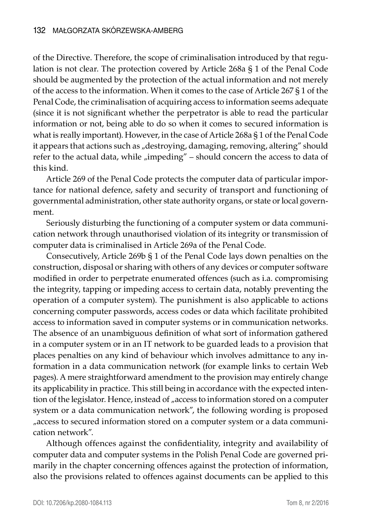of the Directive. Therefore, the scope of criminalisation introduced by that regulation is not clear. The protection covered by Article 268a § 1 of the Penal Code should be augmented by the protection of the actual information and not merely of the access to the information. When it comes to the case of Article 267 § 1 of the Penal Code, the criminalisation of acquiring access to information seems adequate (since it is not significant whether the perpetrator is able to read the particular information or not, being able to do so when it comes to secured information is what is really important). However, in the case of Article 268a § 1 of the Penal Code it appears that actions such as "destroying, damaging, removing, altering" should refer to the actual data, while  $\mu$ impeding" – should concern the access to data of this kind.

Article 269 of the Penal Code protects the computer data of particular importance for national defence, safety and security of transport and functioning of governmental administration, other state authority organs, or state or local government.

Seriously disturbing the functioning of a computer system or data communication network through unauthorised violation of its integrity or transmission of computer data is criminalised in Article 269a of the Penal Code.

Consecutively, Article 269b § 1 of the Penal Code lays down penalties on the construction, disposal or sharing with others of any devices or computer software modified in order to perpetrate enumerated offences (such as i.a. compromising the integrity, tapping or impeding access to certain data, notably preventing the operation of a computer system). The punishment is also applicable to actions concerning computer passwords, access codes or data which facilitate prohibited access to information saved in computer systems or in communication networks. The absence of an unambiguous definition of what sort of information gathered in a computer system or in an IT network to be guarded leads to a provision that places penalties on any kind of behaviour which involves admittance to any information in a data communication network (for example links to certain Web pages). A mere straightforward amendment to the provision may entirely change its applicability in practice. This still being in accordance with the expected intention of the legislator. Hence, instead of "access to information stored on a computer system or a data communication network", the following wording is proposed "access to secured information stored on a computer system or a data communication network".

Although offences against the confidentiality, integrity and availability of computer data and computer systems in the Polish Penal Code are governed primarily in the chapter concerning offences against the protection of information, also the provisions related to offences against documents can be applied to this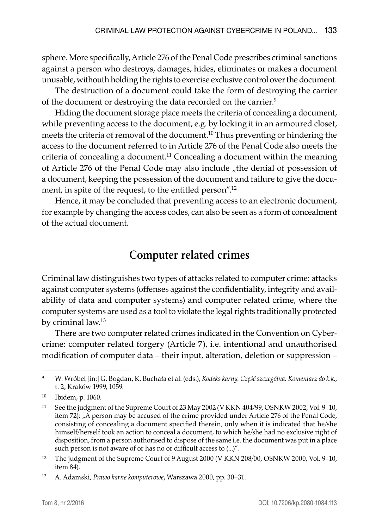sphere. More specifically, Article 276 of the Penal Code prescribes criminal sanctions against a person who destroys, damages, hides, eliminates or makes a document unusable, withouth holding the rights to exercise exclusive control over the document.

The destruction of a document could take the form of destroying the carrier of the document or destroying the data recorded on the carrier.<sup>9</sup>

Hiding the document storage place meets the criteria of concealing a document, while preventing access to the document, e.g. by locking it in an armoured closet, meets the criteria of removal of the document.10 Thus preventing or hindering the access to the document referred to in Article 276 of the Penal Code also meets the criteria of concealing a document.<sup>11</sup> Concealing a document within the meaning of Article 276 of the Penal Code may also include "the denial of possession of a document, keeping the possession of the document and failure to give the document, in spite of the request, to the entitled person".<sup>12</sup>

Hence, it may be concluded that preventing access to an electronic document, for example by changing the access codes, can also be seen as a form of concealment of the actual document.

## **Computer related crimes**

Criminal law distinguishes two types of attacks related to computer crime: attacks against computer systems (offenses against the confidentiality, integrity and availability of data and computer systems) and computer related crime, where the computer systems are used as a tool to violate the legal rights traditionally protected by criminal law.<sup>13</sup>

There are two computer related crimes indicated in the Convention on Cybercrime: computer related forgery (Article 7), i.e. intentional and unauthorised modification of computer data – their input, alteration, deletion or suppression –

<sup>9</sup> W. Wróbel [in:] G. Bogdan, K. Buchała et al. (eds.), *Kodeks karny. Część szczególna. Komentarz do k.k.*, t. 2, Kraków 1999, 1059.

<sup>10</sup> Ibidem, p. 1060.

<sup>11</sup> See the judgment of the Supreme Court of 23 May 2002 (V KKN 404/99, OSNKW 2002, Vol. 9–10, item 72): "A person may be accused of the crime provided under Article 276 of the Penal Code, consisting of concealing a document specified therein, only when it is indicated that he/she himself/herself took an action to conceal a document, to which he/she had no exclusive right of disposition, from a person authorised to dispose of the same i.e. the document was put in a place such person is not aware of or has no or difficult access to (...)".

<sup>&</sup>lt;sup>12</sup> The judgment of the Supreme Court of 9 August 2000 (V KKN 208/00, OSNKW 2000, Vol. 9–10, item 84).

<sup>13</sup> A. Adamski, *Prawo karne komputerowe*, Warszawa 2000, pp. 30–31.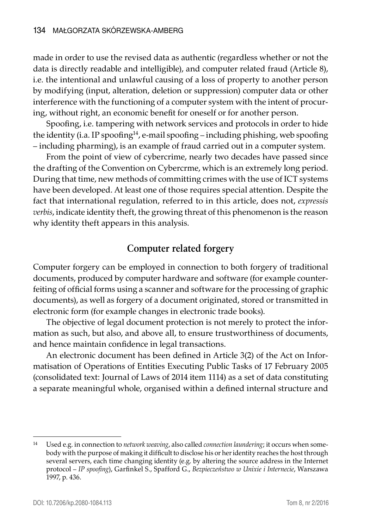made in order to use the revised data as authentic (regardless whether or not the data is directly readable and intelligible), and computer related fraud (Article 8), i.e. the intentional and unlawful causing of a loss of property to another person by modifying (input, alteration, deletion or suppression) computer data or other interference with the functioning of a computer system with the intent of procuring, without right, an economic benefit for oneself or for another person.

Spoofing, i.e. tampering with network services and protocols in order to hide the identity (i.a. IP spoofing<sup>14</sup>, e-mail spoofing – including phishing, web spoofing – including pharming), is an example of fraud carried out in a computer system.

From the point of view of cybercrime, nearly two decades have passed since the drafting of the Convention on Cybercrme, which is an extremely long period. During that time, new methods of committing crimes with the use of ICT systems have been developed. At least one of those requires special attention. Despite the fact that international regulation, referred to in this article, does not, *expressis verbis*, indicate identity theft, the growing threat of this phenomenon is the reason why identity theft appears in this analysis.

#### **Computer related forgery**

Computer forgery can be employed in connection to both forgery of traditional documents, produced by computer hardware and software (for example counterfeiting of official forms using a scanner and software for the processing of graphic documents), as well as forgery of a document originated, stored or transmitted in electronic form (for example changes in electronic trade books).

The objective of legal document protection is not merely to protect the information as such, but also, and above all, to ensure trustworthiness of documents, and hence maintain confidence in legal transactions.

An electronic document has been defined in Article 3(2) of the Act on Informatisation of Operations of Entities Executing Public Tasks of 17 February 2005 (consolidated text: Journal of Laws of 2014 item 1114) as a set of data constituting a separate meaningful whole, organised within a defined internal structure and

<sup>14</sup> Used e.g. in connection to *network weaving*, also called *connection laundering*; it occurs when somebody with the purpose of making it difficult to disclose his or her identity reaches the host through several servers, each time changing identity (e.g. by altering the source address in the Internet protocol – *IP spoofing*), Garfinkel S., Spafford G., *Bezpieczeństwo w Unixie i Internecie*, Warszawa 1997, p. 436.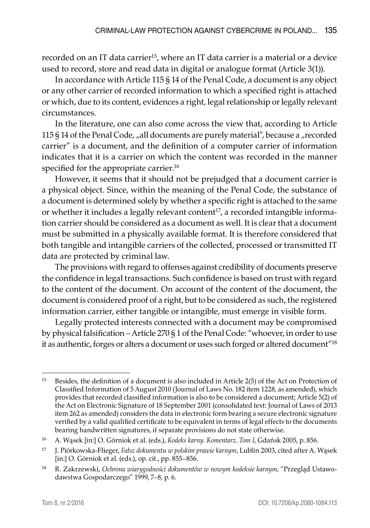recorded on an IT data carrier<sup>15</sup>, where an IT data carrier is a material or a device used to record, store and read data in digital or analogue format (Article 3(1)).

In accordance with Article 115 § 14 of the Penal Code, a document is any object or any other carrier of recorded information to which a specified right is attached or which, due to its content, evidences a right, legal relationship or legally relevant circumstances.

In the literature, one can also come across the view that, according to Article 115 § 14 of the Penal Code,  $n$ all documents are purely material", because a  $n$  recorded carrier" is a document, and the definition of a computer carrier of information indicates that it is a carrier on which the content was recorded in the manner specified for the appropriate carrier.<sup>16</sup>

However, it seems that it should not be prejudged that a document carrier is a physical object. Since, within the meaning of the Penal Code, the substance of a document is determined solely by whether a specific right is attached to the same or whether it includes a legally relevant content<sup>17</sup>, a recorded intangible information carrier should be considered as a document as well. It is clear that a document must be submitted in a physically available format. It is therefore considered that both tangible and intangible carriers of the collected, processed or transmitted IT data are protected by criminal law.

The provisions with regard to offenses against credibility of documents preserve the confidence in legal transactions. Such confidence is based on trust with regard to the content of the document. On account of the content of the document, the document is considered proof of a right, but to be considered as such, the registered information carrier, either tangible or intangible, must emerge in visible form.

Legally protected interests connected with a document may be compromised by physical falsification – Article 270 § 1 of the Penal Code: "whoever, in order to use it as authentic, forges or alters a document or uses such forged or altered document"<sup>18</sup>

<sup>15</sup> Besides, the definition of a document is also included in Article 2(5) of the Act on Protection of Classified Information of 5 August 2010 (Journal of Laws No. 182 item 1228, as amended), which provides that recorded classified information is also to be considered a document; Article 5(2) of the Act on Electronic Signature of 18 September 2001 (consolidated text: Journal of Laws of 2013 item 262 as amended) considers the data in electronic form bearing a secure electronic signature verified by a valid qualified certificate to be equivalent in terms of legal effects to the documents bearing handwritten signatures, if separate provisions do not state otherwise.

<sup>16</sup> A. Wąsek [in:] O. Górniok et al. (eds.), *Kodeks karny. Komentarz. Tom I*, Gdańsk 2005, p. 856.

<sup>17</sup> J. Piórkowska-Flieger, *Fałsz dokumentu w polskim prawie karnym*, Lublin 2003, cited after A. Wąsek [in:] O. Górniok et al. (eds.), op. cit., pp. 855–856.

<sup>18</sup> R. Zakrzewski, *Ochrona wiarygodności dokumentów w nowym kodeksie karnym*, "Przegląd Ustawodawstwa Gospodarczego" 1999, 7–8, p. 6.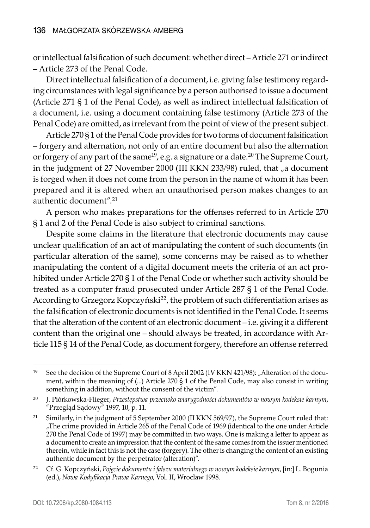or intellectual falsification of such document: whether direct – Article 271 or indirect – Article 273 of the Penal Code.

Direct intellectual falsification of a document, i.e. giving false testimony regarding circumstances with legal significance by a person authorised to issue a document (Article 271 § 1 of the Penal Code), as well as indirect intellectual falsification of a document, i.e. using a document containing false testimony (Article 273 of the Penal Code) are omitted, as irrelevant from the point of view of the present subject.

Article 270 § 1 of the Penal Code provides for two forms of document falsification – forgery and alternation, not only of an entire document but also the alternation or forgery of any part of the same<sup>19</sup>, e.g. a signature or a date.<sup>20</sup> The Supreme Court, in the judgment of 27 November 2000 (III KKN 233/98) ruled, that "a document is forged when it does not come from the person in the name of whom it has been prepared and it is altered when an unauthorised person makes changes to an authentic document".<sup>21</sup>

A person who makes preparations for the offenses referred to in Article 270 § 1 and 2 of the Penal Code is also subject to criminal sanctions.

Despite some claims in the literature that electronic documents may cause unclear qualification of an act of manipulating the content of such documents (in particular alteration of the same), some concerns may be raised as to whether manipulating the content of a digital document meets the criteria of an act prohibited under Article 270 § 1 of the Penal Code or whether such activity should be treated as a computer fraud prosecuted under Article 287 § 1 of the Penal Code. According to Grzegorz Kopczyński<sup>22</sup>, the problem of such differentiation arises as the falsification of electronic documents is not identified in the Penal Code. It seems that the alteration of the content of an electronic document – i.e. giving it a different content than the original one – should always be treated, in accordance with Article 115 § 14 of the Penal Code, as document forgery, therefore an offense referred

<sup>&</sup>lt;sup>19</sup> See the decision of the Supreme Court of 8 April 2002 (IV KKN 421/98): "Alteration of the document, within the meaning of (...) Article 270 § 1 of the Penal Code, may also consist in writing something in addition, without the consent of the victim".

<sup>20</sup> J. Piórkowska-Flieger, *Przestępstwa przeciwko wiarygodności dokumentów w nowym kodeksie karnym*, "Przegląd Sądowy" 1997, 10, p. 11.

<sup>&</sup>lt;sup>21</sup> Similarly, in the judgment of 5 September 2000 (II KKN 569/97), the Supreme Court ruled that: "The crime provided in Article 265 of the Penal Code of 1969 (identical to the one under Article 270 the Penal Code of 1997) may be committed in two ways. One is making a letter to appear as a document to create an impression that the content of the same comes from the issuer mentioned therein, while in fact this is not the case (forgery). The other is changing the content of an existing authentic document by the perpetrator (alteration)".

<sup>22</sup> Cf. G. Kopczyński, *Pojęcie dokumentu i fałszu materialnego w nowym kodeksie karnym*, [in:] L. Bogunia (ed.), *Nowa Kodyfikacja Prawa Karnego*, Vol. II, Wrocław 1998.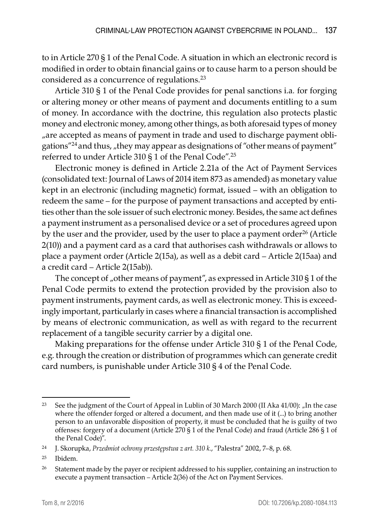to in Article 270 § 1 of the Penal Code. A situation in which an electronic record is modified in order to obtain financial gains or to cause harm to a person should be considered as a concurrence of regulations.23

Article 310 § 1 of the Penal Code provides for penal sanctions i.a*.* for forging or altering money or other means of payment and documents entitling to a sum of money. In accordance with the doctrine, this regulation also protects plastic money and electronic money, among other things, as both aforesaid types of money "are accepted as means of payment in trade and used to discharge payment obligations"<sup>24</sup> and thus, "they may appear as designations of "other means of payment" referred to under Article 310 § 1 of the Penal Code".25

Electronic money is defined in Article 2.21a of the Act of Payment Services (consolidated text: Journal of Laws of 2014 item 873 as amended) as monetary value kept in an electronic (including magnetic) format, issued – with an obligation to redeem the same – for the purpose of payment transactions and accepted by entities other than the sole issuer of such electronic money. Besides, the same act defines a payment instrument as a personalised device or a set of procedures agreed upon by the user and the provider, used by the user to place a payment order<sup>26</sup> (Article 2(10)) and a payment card as a card that authorises cash withdrawals or allows to place a payment order (Article 2(15a), as well as a debit card – Article 2(15aa) and a credit card – Article 2(15ab)).

The concept of "other means of payment", as expressed in Article 310 § 1 of the Penal Code permits to extend the protection provided by the provision also to payment instruments, payment cards, as well as electronic money. This is exceedingly important, particularly in cases where a financial transaction is accomplished by means of electronic communication, as well as with regard to the recurrent replacement of a tangible security carrier by a digital one.

Making preparations for the offense under Article 310 § 1 of the Penal Code, e.g. through the creation or distribution of programmes which can generate credit card numbers, is punishable under Article 310 § 4 of the Penal Code.

<sup>&</sup>lt;sup>23</sup> See the judgment of the Court of Appeal in Lublin of 30 March 2000 (II Aka 41/00): "In the case where the offender forged or altered a document, and then made use of it (...) to bring another person to an unfavorable disposition of property, it must be concluded that he is guilty of two offenses: forgery of a document (Article 270 § 1 of the Penal Code) and fraud (Article 286 § 1 of the Penal Code)".

<sup>24</sup> J. Skorupka, *Przedmiot ochrony przestępstwa z art. 310 k.*, "Palestra" 2002, 7–8, p. 68.

<sup>25</sup> Ibidem.

<sup>&</sup>lt;sup>26</sup> Statement made by the payer or recipient addressed to his supplier, containing an instruction to execute a payment transaction – Article 2(36) of the Act on Payment Services.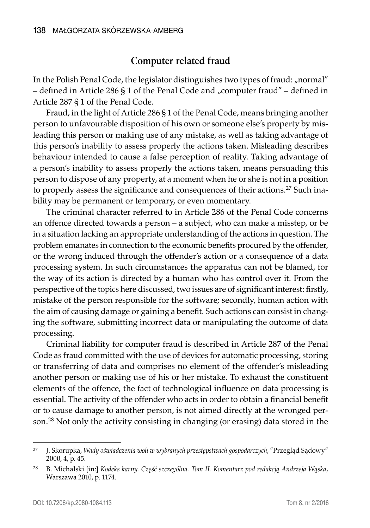#### **Computer related fraud**

In the Polish Penal Code, the legislator distinguishes two types of fraud: "normal" – defined in Article 286 § 1 of the Penal Code and "computer fraud" – defined in Article 287 § 1 of the Penal Code.

Fraud, in the light of Article 286 § 1 of the Penal Code, means bringing another person to unfavourable disposition of his own or someone else's property by misleading this person or making use of any mistake, as well as taking advantage of this person's inability to assess properly the actions taken. Misleading describes behaviour intended to cause a false perception of reality. Taking advantage of a person's inability to assess properly the actions taken, means persuading this person to dispose of any property, at a moment when he or she is not in a position to properly assess the significance and consequences of their actions.<sup>27</sup> Such inability may be permanent or temporary, or even momentary.

The criminal character referred to in Article 286 of the Penal Code concerns an offence directed towards a person – a subject, who can make a misstep, or be in a situation lacking an appropriate understanding of the actions in question. The problem emanates in connection to the economic benefits procured by the offender, or the wrong induced through the offender's action or a consequence of a data processing system. In such circumstances the apparatus can not be blamed, for the way of its action is directed by a human who has control over it. From the perspective of the topics here discussed, two issues are of significant interest: firstly, mistake of the person responsible for the software; secondly, human action with the aim of causing damage or gaining a benefit. Such actions can consist in changing the software, submitting incorrect data or manipulating the outcome of data processing.

Criminal liability for computer fraud is described in Article 287 of the Penal Code as fraud committed with the use of devices for automatic processing, storing or transferring of data and comprises no element of the offender's misleading another person or making use of his or her mistake. To exhaust the constituent elements of the offence, the fact of technological influence on data processing is essential. The activity of the offender who acts in order to obtain a financial benefit or to cause damage to another person, is not aimed directly at the wronged person.28 Not only the activity consisting in changing (or erasing) data stored in the

<sup>27</sup> J. Skorupka, *Wady oświadczenia woli w wybranych przestępstwach gospodarczych*, "Przegląd Sądowy" 2000, 4, p. 45.

<sup>28</sup> B. Michalski [in:] *Kodeks karny. Część szczególna. Tom II. Komentarz pod redakcją Andrzeja Wąska*, Warszawa 2010, p. 1174.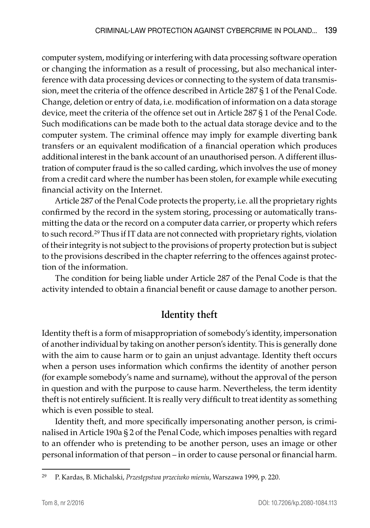computer system, modifying or interfering with data processing software operation or changing the information as a result of processing, but also mechanical interference with data processing devices or connecting to the system of data transmission, meet the criteria of the offence described in Article 287 § 1 of the Penal Code. Change, deletion or entry of data, i.e. modification of information on a data storage device, meet the criteria of the offence set out in Article 287 § 1 of the Penal Code. Such modifications can be made both to the actual data storage device and to the computer system. The criminal offence may imply for example diverting bank transfers or an equivalent modification of a financial operation which produces additional interest in the bank account of an unauthorised person. A different illustration of computer fraud is the so called carding, which involves the use of money from a credit card where the number has been stolen, for example while executing financial activity on the Internet.

Article 287 of the Penal Code protects the property, i.e. all the proprietary rights confirmed by the record in the system storing, processing or automatically transmitting the data or the record on a computer data carrier, or property which refers to such record.<sup>29</sup> Thus if IT data are not connected with proprietary rights, violation of their integrity is not subject to the provisions of property protection but is subject to the provisions described in the chapter referring to the offences against protection of the information.

The condition for being liable under Article 287 of the Penal Code is that the activity intended to obtain a financial benefit or cause damage to another person.

## **Identity theft**

Identity theft is a form of misappropriation of somebody's identity, impersonation of another individual by taking on another person's identity. This is generally done with the aim to cause harm or to gain an unjust advantage. Identity theft occurs when a person uses information which confirms the identity of another person (for example somebody's name and surname), without the approval of the person in question and with the purpose to cause harm. Nevertheless, the term identity theft is not entirely sufficient. It is really very difficult to treat identity as something which is even possible to steal.

Identity theft, and more specifically impersonating another person, is criminalised in Article 190a § 2 of the Penal Code, which imposes penalties with regard to an offender who is pretending to be another person, uses an image or other personal information of that person – in order to cause personal or financial harm.

<sup>29</sup> P. Kardas, B. Michalski, *Przestępstwa przeciwko mieniu*, Warszawa 1999, p. 220.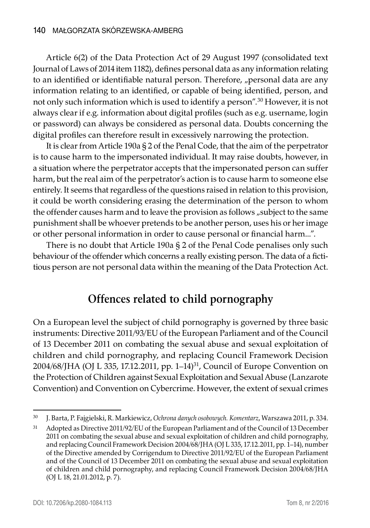Article 6(2) of the Data Protection Act of 29 August 1997 (consolidated text Journal of Laws of 2014 item 1182), defines personal data as any information relating to an identified or identifiable natural person. Therefore, "personal data are any information relating to an identified, or capable of being identified, person, and not only such information which is used to identify a person".30 However, it is not always clear if e.g. information about digital profiles (such as e.g. username, login or password) can always be considered as personal data. Doubts concerning the digital profiles can therefore result in excessively narrowing the protection.

It is clear from Article 190a § 2 of the Penal Code, that the aim of the perpetrator is to cause harm to the impersonated individual. It may raise doubts, however, in a situation where the perpetrator accepts that the impersonated person can suffer harm, but the real aim of the perpetrator's action is to cause harm to someone else entirely. It seems that regardless of the questions raised in relation to this provision, it could be worth considering erasing the determination of the person to whom the offender causes harm and to leave the provision as follows "subject to the same punishment shall be whoever pretends to be another person, uses his or her image or other personal information in order to cause personal or financial harm...".

There is no doubt that Article 190a § 2 of the Penal Code penalises only such behaviour of the offender which concerns a really existing person. The data of a fictitious person are not personal data within the meaning of the Data Protection Act.

# **Offences related to child pornography**

On a European level the subject of child pornography is governed by three basic instruments: Directive 2011/93/EU of the European Parliament and of the Council of 13 December 2011 on combating the sexual abuse and sexual exploitation of children and child pornography, and replacing Council Framework Decision 2004/68/JHA (OJ L 335, 17.12.2011, pp.  $1-14$ )<sup>31</sup>, Council of Europe Convention on the Protection of Children against Sexual Exploitation and Sexual Abuse (Lanzarote Convention) and Convention on Cybercrime. However, the extent of sexual crimes

<sup>30</sup> J. Barta, P. Fajgielski, R. Markiewicz, *Ochrona danych osobowych. Komentarz*, Warszawa 2011, p. 334.

<sup>31</sup> Adopted as Directive 2011/92/EU of the European Parliament and of the Council of 13 December 2011 on combating the sexual abuse and sexual exploitation of children and child pornography, and replacing Council Framework Decision 2004/68/JHA (OJ L 335, 17.12.2011, pp. 1–14), number of the Directive amended by Corrigendum to Directive 2011/92/EU of the European Parliament and of the Council of 13 December 2011 on combating the sexual abuse and sexual exploitation of children and child pornography, and replacing Council Framework Decision 2004/68/JHA (OJ L 18, 21.01.2012, p. 7).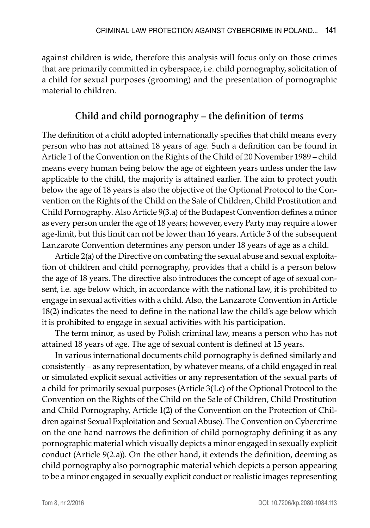against children is wide, therefore this analysis will focus only on those crimes that are primarily committed in cyberspace, i.e. child pornography, solicitation of a child for sexual purposes (grooming) and the presentation of pornographic material to children.

### **Child and child pornography – the definition of terms**

The definition of a child adopted internationally specifies that child means every person who has not attained 18 years of age. Such a definition can be found in Article 1 of the Convention on the Rights of the Child of 20 November 1989 – child means every human being below the age of eighteen years unless under the law applicable to the child, the majority is attained earlier. The aim to protect youth below the age of 18 years is also the objective of the Optional Protocol to the Convention on the Rights of the Child on the Sale of Children, Child Prostitution and Child Pornography. Also Article 9(3.a) of the Budapest Convention defines a minor as every person under the age of 18 years; however, every Party may require a lower age-limit, but this limit can not be lower than 16 years. Article 3 of the subsequent Lanzarote Convention determines any person under 18 years of age as a child.

Article 2(a) of the Directive on combating the sexual abuse and sexual exploitation of children and child pornography, provides that a child is a person below the age of 18 years. The directive also introduces the concept of age of sexual consent, i.e. age below which, in accordance with the national law, it is prohibited to engage in sexual activities with a child. Also, the Lanzarote Convention in Article 18(2) indicates the need to define in the national law the child's age below which it is prohibited to engage in sexual activities with his participation.

The term minor, as used by Polish criminal law, means a person who has not attained 18 years of age. The age of sexual content is defined at 15 years.

In various international documents child pornography is defined similarly and consistently – as any representation, by whatever means, of a child engaged in real or simulated explicit sexual activities or any representation of the sexual parts of a child for primarily sexual purposes (Article 3(1.c) of the Optional Protocol to the Convention on the Rights of the Child on the Sale of Children, Child Prostitution and Child Pornography, Article 1(2) of the Convention on the Protection of Children against Sexual Exploitation and Sexual Abuse). The Convention on Cybercrime on the one hand narrows the definition of child pornography defining it as any pornographic material which visually depicts a minor engaged in sexually explicit conduct (Article 9(2.a)). On the other hand, it extends the definition, deeming as child pornography also pornographic material which depicts a person appearing to be a minor engaged in sexually explicit conduct or realistic images representing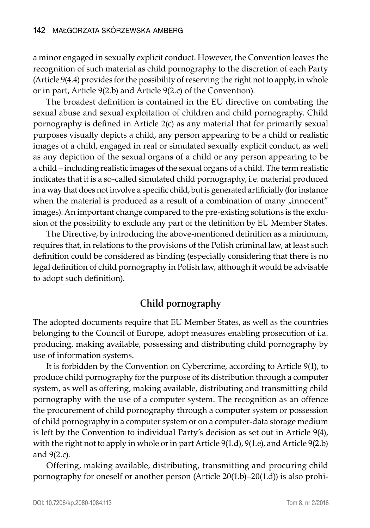a minor engaged in sexually explicit conduct. However, the Convention leaves the recognition of such material as child pornography to the discretion of each Party (Article 9(4.4) provides for the possibility of reserving the right not to apply, in whole or in part, Article 9(2.b) and Article 9(2.c) of the Convention).

The broadest definition is contained in the EU directive on combating the sexual abuse and sexual exploitation of children and child pornography. Child pornography is defined in Article 2(c) as any material that for primarily sexual purposes visually depicts a child, any person appearing to be a child or realistic images of a child, engaged in real or simulated sexually explicit conduct, as well as any depiction of the sexual organs of a child or any person appearing to be a child – including realistic images of the sexual organs of a child. The term realistic indicates that it is a so-called simulated child pornography, i.e. material produced in a way that does not involve a specific child, but is generated artificially (for instance when the material is produced as a result of a combination of many  $\mu$  innocent" images). An important change compared to the pre-existing solutions is the exclusion of the possibility to exclude any part of the definition by EU Member States.

The Directive, by introducing the above-mentioned definition as a minimum, requires that, in relations to the provisions of the Polish criminal law, at least such definition could be considered as binding (especially considering that there is no legal definition of child pornography in Polish law, although it would be advisable to adopt such definition).

#### **Child pornography**

The adopted documents require that EU Member States, as well as the countries belonging to the Council of Europe, adopt measures enabling prosecution of i.a. producing, making available, possessing and distributing child pornography by use of information systems.

It is forbidden by the Convention on Cybercrime, according to Article 9(1), to produce child pornography for the purpose of its distribution through a computer system, as well as offering, making available, distributing and transmitting child pornography with the use of a computer system. The recognition as an offence the procurement of child pornography through a computer system or possession of child pornography in a computer system or on a computer-data storage medium is left by the Convention to individual Party's decision as set out in Article 9(4), with the right not to apply in whole or in part Article 9(1.d), 9(1.e), and Article 9(2.b) and 9(2.c).

Offering, making available, distributing, transmitting and procuring child pornography for oneself or another person (Article 20(1.b)–20(1.d)) is also prohi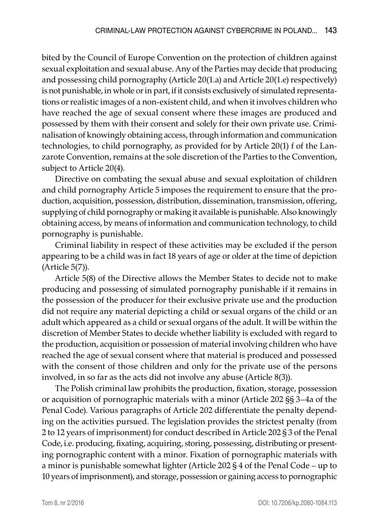bited by the Council of Europe Convention on the protection of children against sexual exploitation and sexual abuse. Any of the Parties may decide that producing and possessing child pornography (Article 20(1.a) and Article 20(1.e) respectively) is not punishable, in whole or in part, if it consists exclusively of simulated representations or realistic images of a non-existent child, and when it involves children who have reached the age of sexual consent where these images are produced and possessed by them with their consent and solely for their own private use. Criminalisation of knowingly obtaining access, through information and communication technologies, to child pornography, as provided for by Article 20(1) f of the Lanzarote Convention, remains at the sole discretion of the Parties to the Convention, subject to Article 20(4).

Directive on combating the sexual abuse and sexual exploitation of children and child pornography Article 5 imposes the requirement to ensure that the production, acquisition, possession, distribution, dissemination, transmission, offering, supplying of child pornography or making it available is punishable. Also knowingly obtaining access, by means of information and communication technology, to child pornography is punishable.

Criminal liability in respect of these activities may be excluded if the person appearing to be a child was in fact 18 years of age or older at the time of depiction (Article 5(7)).

Article 5(8) of the Directive allows the Member States to decide not to make producing and possessing of simulated pornography punishable if it remains in the possession of the producer for their exclusive private use and the production did not require any material depicting a child or sexual organs of the child or an adult which appeared as a child or sexual organs of the adult. It will be within the discretion of Member States to decide whether liability is excluded with regard to the production, acquisition or possession of material involving children who have reached the age of sexual consent where that material is produced and possessed with the consent of those children and only for the private use of the persons involved, in so far as the acts did not involve any abuse (Article 8(3)).

The Polish criminal law prohibits the production, fixation, storage, possession or acquisition of pornographic materials with a minor (Article 202 §§ 3–4a of the Penal Code). Various paragraphs of Article 202 differentiate the penalty depending on the activities pursued. The legislation provides the strictest penalty (from 2 to 12 years of imprisonment) for conduct described in Article 202 § 3 of the Penal Code, i.e. producing, fixating, acquiring, storing, possessing, distributing or presenting pornographic content with a minor. Fixation of pornographic materials with a minor is punishable somewhat lighter (Article 202 § 4 of the Penal Code – up to 10 years of imprisonment), and storage, possession or gaining access to pornographic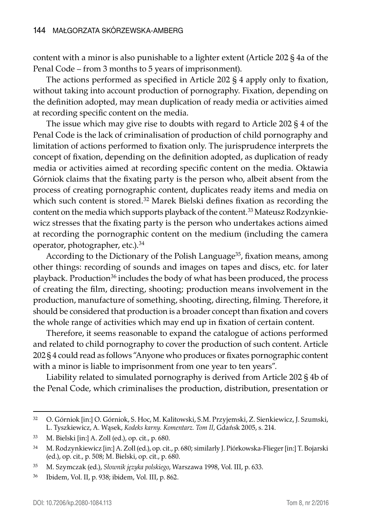content with a minor is also punishable to a lighter extent (Article 202 § 4a of the Penal Code – from 3 months to 5 years of imprisonment).

The actions performed as specified in Article 202 § 4 apply only to fixation, without taking into account production of pornography. Fixation, depending on the definition adopted, may mean duplication of ready media or activities aimed at recording specific content on the media.

The issue which may give rise to doubts with regard to Article 202 § 4 of the Penal Code is the lack of criminalisation of production of child pornography and limitation of actions performed to fixation only. The jurisprudence interprets the concept of fixation, depending on the definition adopted, as duplication of ready media or activities aimed at recording specific content on the media. Oktawia Górniok claims that the fixating party is the person who, albeit absent from the process of creating pornographic content, duplicates ready items and media on which such content is stored.<sup>32</sup> Marek Bielski defines fixation as recording the content on the media which supports playback of the content.33 Mateusz Rodzynkiewicz stresses that the fixating party is the person who undertakes actions aimed at recording the pornographic content on the medium (including the camera operator, photographer, etc.).34

According to the Dictionary of the Polish Language<sup>35</sup>, fixation means, among other things: recording of sounds and images on tapes and discs, etc. for later playback. Production<sup>36</sup> includes the body of what has been produced, the process of creating the film, directing, shooting; production means involvement in the production, manufacture of something, shooting, directing, filming. Therefore, it should be considered that production is a broader concept than fixation and covers the whole range of activities which may end up in fixation of certain content.

Therefore, it seems reasonable to expand the catalogue of actions performed and related to child pornography to cover the production of such content. Article 202 § 4 could read as follows "Anyone who produces or fixates pornographic content with a minor is liable to imprisonment from one year to ten years".

Liability related to simulated pornography is derived from Article 202 § 4b of the Penal Code, which criminalises the production, distribution, presentation or

<sup>32</sup> O. Górniok [in:] O. Górniok, S. Hoc, M. Kalitowski, S.M. Przyjemski, Z. Sienkiewicz, J. Szumski, L. Tyszkiewicz, A. Wąsek, *Kodeks karny. Komentarz. Tom II*, Gdańsk 2005, s. 214.

<sup>33</sup> M. Bielski [in:] A. Zoll (ed.), op. cit., p. 680.

<sup>34</sup> M. Rodzynkiewicz [in:] A. Zoll (ed.), op. cit., p. 680; similarly J. Piórkowska-Flieger [in:] T. Bojarski (ed.), op. cit., p. 508; M. Bielski, op. cit., p. 680.

<sup>35</sup> M. Szymczak (ed.), *Słownik języka polskiego*, Warszawa 1998, Vol. III, p. 633.

<sup>36</sup> Ibidem, Vol. II, p. 938; ibidem, Vol. III, p. 862.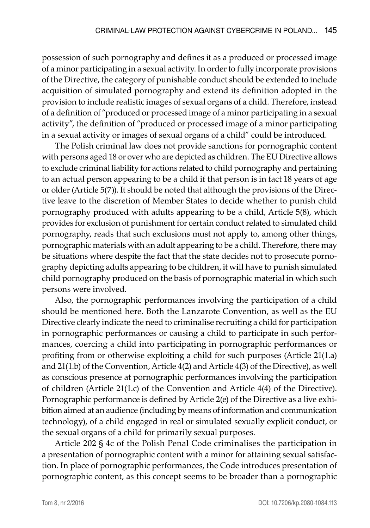possession of such pornography and defines it as a produced or processed image of a minor participating in a sexual activity. In order to fully incorporate provisions of the Directive, the category of punishable conduct should be extended to include acquisition of simulated pornography and extend its definition adopted in the provision to include realistic images of sexual organs of a child. Therefore, instead of a definition of "produced or processed image of a minor participating in a sexual activity", the definition of "produced or processed image of a minor participating in a sexual activity or images of sexual organs of a child" could be introduced.

The Polish criminal law does not provide sanctions for pornographic content with persons aged 18 or over who are depicted as children. The EU Directive allows to exclude criminal liability for actions related to child pornography and pertaining to an actual person appearing to be a child if that person is in fact 18 years of age or older (Article 5(7)). It should be noted that although the provisions of the Directive leave to the discretion of Member States to decide whether to punish child pornography produced with adults appearing to be a child, Article 5(8), which provides for exclusion of punishment for certain conduct related to simulated child pornography, reads that such exclusions must not apply to, among other things, pornographic materials with an adult appearing to be a child. Therefore, there may be situations where despite the fact that the state decides not to prosecute pornography depicting adults appearing to be children, it will have to punish simulated child pornography produced on the basis of pornographic material in which such persons were involved.

Also, the pornographic performances involving the participation of a child should be mentioned here. Both the Lanzarote Convention, as well as the EU Directive clearly indicate the need to criminalise recruiting a child for participation in pornographic performances or causing a child to participate in such performances, coercing a child into participating in pornographic performances or profiting from or otherwise exploiting a child for such purposes (Article 21(1.a) and 21(1.b) of the Convention, Article 4(2) and Article 4(3) of the Directive), as well as conscious presence at pornographic performances involving the participation of children (Article 21(1.c) of the Convention and Article 4(4) of the Directive). Pornographic performance is defined by Article 2(e) of the Directive as a live exhibition aimed at an audience (including by means of information and communication technology), of a child engaged in real or simulated sexually explicit conduct, or the sexual organs of a child for primarily sexual purposes.

Article 202 § 4c of the Polish Penal Code criminalises the participation in a presentation of pornographic content with a minor for attaining sexual satisfaction. In place of pornographic performances, the Code introduces presentation of pornographic content, as this concept seems to be broader than a pornographic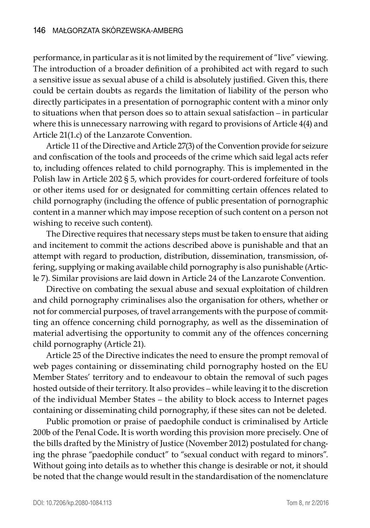performance, in particular as it is not limited by the requirement of "live" viewing. The introduction of a broader definition of a prohibited act with regard to such a sensitive issue as sexual abuse of a child is absolutely justified. Given this, there could be certain doubts as regards the limitation of liability of the person who directly participates in a presentation of pornographic content with a minor only to situations when that person does so to attain sexual satisfaction – in particular where this is unnecessary narrowing with regard to provisions of Article 4(4) and Article 21(1.c) of the Lanzarote Convention.

Article 11 of the Directive and Article 27(3) of the Convention provide for seizure and confiscation of the tools and proceeds of the crime which said legal acts refer to, including offences related to child pornography. This is implemented in the Polish law in Article 202 § 5, which provides for court-ordered forfeiture of tools or other items used for or designated for committing certain offences related to child pornography (including the offence of public presentation of pornographic content in a manner which may impose reception of such content on a person not wishing to receive such content).

The Directive requires that necessary steps must be taken to ensure that aiding and incitement to commit the actions described above is punishable and that an attempt with regard to production, distribution, dissemination, transmission, offering, supplying or making available child pornography is also punishable (Article 7). Similar provisions are laid down in Article 24 of the Lanzarote Convention.

Directive on combating the sexual abuse and sexual exploitation of children and child pornography criminalises also the organisation for others, whether or not for commercial purposes, of travel arrangements with the purpose of committing an offence concerning child pornography, as well as the dissemination of material advertising the opportunity to commit any of the offences concerning child pornography (Article 21).

Article 25 of the Directive indicates the need to ensure the prompt removal of web pages containing or disseminating child pornography hosted on the EU Member States' territory and to endeavour to obtain the removal of such pages hosted outside of their territory. It also provides – while leaving it to the discretion of the individual Member States – the ability to block access to Internet pages containing or disseminating child pornography, if these sites can not be deleted.

Public promotion or praise of paedophile conduct is criminalised by Article 200b of the Penal Code**.** It is worth wording this provision more precisely. One of the bills drafted by the Ministry of Justice (November 2012) postulated for changing the phrase "paedophile conduct" to "sexual conduct with regard to minors". Without going into details as to whether this change is desirable or not, it should be noted that the change would result in the standardisation of the nomenclature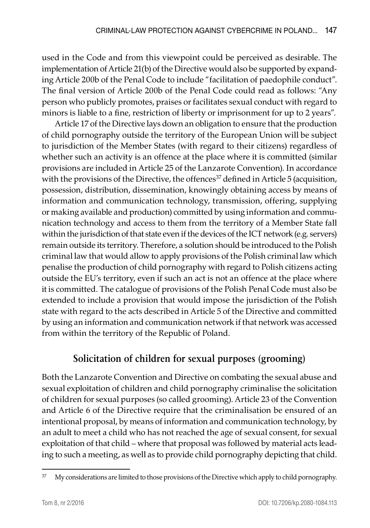used in the Code and from this viewpoint could be perceived as desirable. The implementation of Article 21(b) of the Directive would also be supported by expanding Article 200b of the Penal Code to include "facilitation of paedophile conduct". The final version of Article 200b of the Penal Code could read as follows: "Any person who publicly promotes, praises or facilitates sexual conduct with regard to minors is liable to a fine, restriction of liberty or imprisonment for up to 2 years".

Article 17 of the Directive lays down an obligation to ensure that the production of child pornography outside the territory of the European Union will be subject to jurisdiction of the Member States (with regard to their citizens) regardless of whether such an activity is an offence at the place where it is committed (similar provisions are included in Article 25 of the Lanzarote Convention). In accordance with the provisions of the Directive, the offences $37$  defined in Article 5 (acquisition, possession, distribution, dissemination, knowingly obtaining access by means of information and communication technology, transmission, offering, supplying or making available and production) committed by using information and communication technology and access to them from the territory of a Member State fall within the jurisdiction of that state even if the devices of the ICT network (e.g. servers) remain outside its territory. Therefore, a solution should be introduced to the Polish criminal law that would allow to apply provisions of the Polish criminal law which penalise the production of child pornography with regard to Polish citizens acting outside the EU's territory, even if such an act is not an offence at the place where it is committed. The catalogue of provisions of the Polish Penal Code must also be extended to include a provision that would impose the jurisdiction of the Polish state with regard to the acts described in Article 5 of the Directive and committed by using an information and communication network if that network was accessed from within the territory of the Republic of Poland.

## **Solicitation of children for sexual purposes (grooming)**

Both the Lanzarote Convention and Directive on combating the sexual abuse and sexual exploitation of children and child pornography criminalise the solicitation of children for sexual purposes (so called grooming). Article 23 of the Convention and Article 6 of the Directive require that the criminalisation be ensured of an intentional proposal, by means of information and communication technology, by an adult to meet a child who has not reached the age of sexual consent, for sexual exploitation of that child – where that proposal was followed by material acts leading to such a meeting, as well as to provide child pornography depicting that child.

<sup>&</sup>lt;sup>37</sup> My considerations are limited to those provisions of the Directive which apply to child pornography.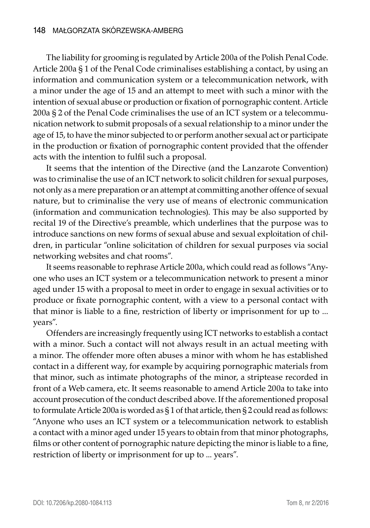The liability for grooming is regulated by Article 200a of the Polish Penal Code. Article 200a § 1 of the Penal Code criminalises establishing a contact, by using an information and communication system or a telecommunication network, with a minor under the age of 15 and an attempt to meet with such a minor with the intention of sexual abuse or production or fixation of pornographic content. Article 200a § 2 of the Penal Code criminalises the use of an ICT system or a telecommunication network to submit proposals of a sexual relationship to a minor under the age of 15, to have the minor subjected to or perform another sexual act or participate in the production or fixation of pornographic content provided that the offender acts with the intention to fulfil such a proposal.

It seems that the intention of the Directive (and the Lanzarote Convention) was to criminalise the use of an ICT network to solicit children for sexual purposes, not only as a mere preparation or an attempt at committing another offence of sexual nature, but to criminalise the very use of means of electronic communication (information and communication technologies). This may be also supported by recital 19 of the Directive's preamble, which underlines that the purpose was to introduce sanctions on new forms of sexual abuse and sexual exploitation of children, in particular "online solicitation of children for sexual purposes via social networking websites and chat rooms".

It seems reasonable to rephrase Article 200a, which could read as follows "Anyone who uses an ICT system or a telecommunication network to present a minor aged under 15 with a proposal to meet in order to engage in sexual activities or to produce or fixate pornographic content, with a view to a personal contact with that minor is liable to a fine, restriction of liberty or imprisonment for up to ... years".

Offenders are increasingly frequently using ICT networks to establish a contact with a minor. Such a contact will not always result in an actual meeting with a minor. The offender more often abuses a minor with whom he has established contact in a different way, for example by acquiring pornographic materials from that minor, such as intimate photographs of the minor, a striptease recorded in front of a Web camera, etc. It seems reasonable to amend Article 200a to take into account prosecution of the conduct described above. If the aforementioned proposal to formulate Article 200a is worded as  $\S 1$  of that article, then  $\S 2$  could read as follows: "Anyone who uses an ICT system or a telecommunication network to establish a contact with a minor aged under 15 years to obtain from that minor photographs, films or other content of pornographic nature depicting the minor is liable to a fine, restriction of liberty or imprisonment for up to ... years".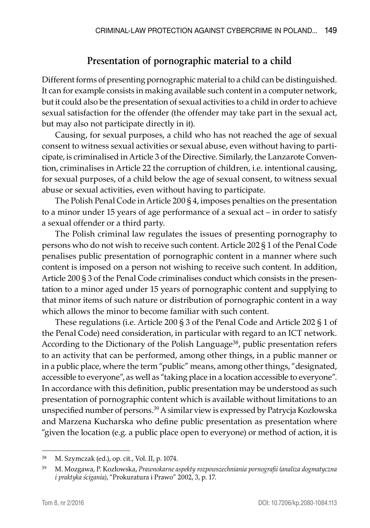### **Presentation of pornographic material to a child**

Different forms of presenting pornographic material to a child can be distinguished. It can for example consists in making available such content in a computer network, but it could also be the presentation of sexual activities to a child in order to achieve sexual satisfaction for the offender (the offender may take part in the sexual act, but may also not participate directly in it).

Causing, for sexual purposes, a child who has not reached the age of sexual consent to witness sexual activities or sexual abuse, even without having to participate, is criminalised in Article 3 of the Directive. Similarly, the Lanzarote Convention, criminalises in Article 22 the corruption of children, i.e. intentional causing, for sexual purposes, of a child below the age of sexual consent, to witness sexual abuse or sexual activities, even without having to participate.

The Polish Penal Code in Article 200 § 4, imposes penalties on the presentation to a minor under 15 years of age performance of a sexual act – in order to satisfy a sexual offender or a third party.

The Polish criminal law regulates the issues of presenting pornography to persons who do not wish to receive such content. Article 202 § 1 of the Penal Code penalises public presentation of pornographic content in a manner where such content is imposed on a person not wishing to receive such content. In addition, Article 200 § 3 of the Penal Code criminalises conduct which consists in the presentation to a minor aged under 15 years of pornographic content and supplying to that minor items of such nature or distribution of pornographic content in a way which allows the minor to become familiar with such content.

These regulations (i.e. Article 200 § 3 of the Penal Code and Article 202 § 1 of the Penal Code) need consideration, in particular with regard to an ICT network. According to the Dictionary of the Polish Language<sup>38</sup>, public presentation refers to an activity that can be performed, among other things, in a public manner or in a public place, where the term "public" means, among other things, "designated, accessible to everyone", as well as "taking place in a location accessible to everyone". In accordance with this definition, public presentation may be understood as such presentation of pornographic content which is available without limitations to an unspecified number of persons.39 A similar view is expressed by Patrycja Kozłowska and Marzena Kucharska who define public presentation as presentation where "given the location (e.g. a public place open to everyone) or method of action, it is

<sup>38</sup> M. Szymczak (ed.), op. cit., Vol. II, p. 1074.

<sup>39</sup> M. Mozgawa, P. Kozłowska, *Prawnokarne aspekty rozpowszechniania pornografii (analiza dogmatyczna i praktyka ścigania)*, "Prokuratura i Prawo" 2002, 3, p. 17.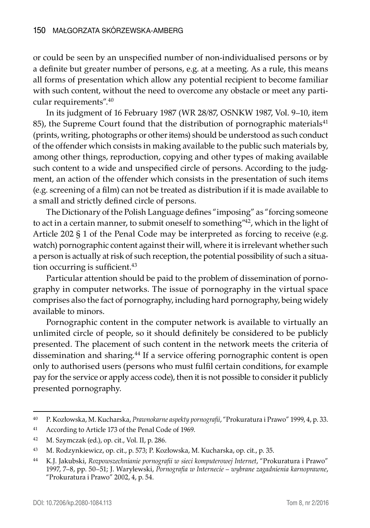or could be seen by an unspecified number of non-individualised persons or by a definite but greater number of persons, e.g. at a meeting. As a rule, this means all forms of presentation which allow any potential recipient to become familiar with such content, without the need to overcome any obstacle or meet any particular requirements".<sup>40</sup>

In its judgment of 16 February 1987 (WR 28/87, OSNKW 1987, Vol. 9–10, item 85), the Supreme Court found that the distribution of pornographic materials<sup>41</sup> (prints, writing, photographs or other items) should be understood as such conduct of the offender which consists in making available to the public such materials by, among other things, reproduction, copying and other types of making available such content to a wide and unspecified circle of persons. According to the judgment, an action of the offender which consists in the presentation of such items (e.g. screening of a film) can not be treated as distribution if it is made available to a small and strictly defined circle of persons.

The Dictionary of the Polish Language defines "imposing" as "forcing someone to act in a certain manner, to submit oneself to something"<sup>42</sup>, which in the light of Article 202 § 1 of the Penal Code may be interpreted as forcing to receive (e.g. watch) pornographic content against their will, where it is irrelevant whether such a person is actually at risk of such reception, the potential possibility of such a situation occurring is sufficient.<sup>43</sup>

Particular attention should be paid to the problem of dissemination of pornography in computer networks. The issue of pornography in the virtual space comprises also the fact of pornography, including hard pornography, being widely available to minors.

Pornographic content in the computer network is available to virtually an unlimited circle of people, so it should definitely be considered to be publicly presented. The placement of such content in the network meets the criteria of dissemination and sharing.<sup>44</sup> If a service offering pornographic content is open only to authorised users (persons who must fulfil certain conditions, for example pay for the service or apply access code), then it is not possible to consider it publicly presented pornography.

<sup>40</sup> P. Kozłowska, M. Kucharska, *Prawnokarne aspekty pornografii*, "Prokuratura i Prawo" 1999, 4, p. 33.

<sup>41</sup> According to Article 173 of the Penal Code of 1969.

<sup>42</sup> M. Szymczak (ed.), op. cit., Vol. II, p. 286.

<sup>43</sup> M. Rodzynkiewicz, op. cit., p. 573; P. Kozłowska, M. Kucharska, op. cit., p. 35.

<sup>44</sup> K.J. Jakubski, *Rozpowszechnianie pornografii w sieci komputerowej Internet*, "Prokuratura i Prawo" 1997, 7–8, pp. 50–51; J. Warylewski, *Pornografia w Internecie – wybrane zagadnienia karnoprawne*, "Prokuratura i Prawo" 2002, 4, p. 54.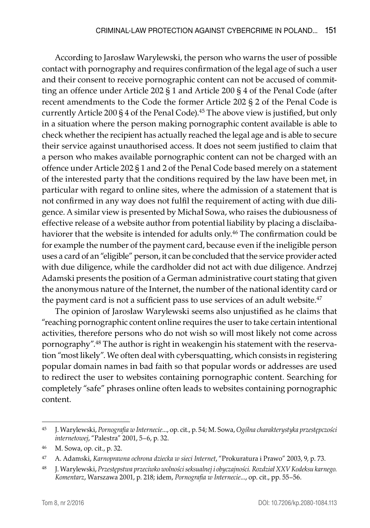According to Jarosław Warylewski, the person who warns the user of possible contact with pornography and requires confirmation of the legal age of such a user and their consent to receive pornographic content can not be accused of committing an offence under Article 202 § 1 and Article 200 § 4 of the Penal Code (after recent amendments to the Code the former Article 202 § 2 of the Penal Code is currently Article 200 § 4 of the Penal Code).<sup>45</sup> The above view is justified, but only in a situation where the person making pornographic content available is able to check whether the recipient has actually reached the legal age and is able to secure their service against unauthorised access. It does not seem justified to claim that a person who makes available pornographic content can not be charged with an offence under Article 202 § 1 and 2 of the Penal Code based merely on a statement of the interested party that the conditions required by the law have been met, in particular with regard to online sites, where the admission of a statement that is not confirmed in any way does not fulfil the requirement of acting with due diligence. A similar view is presented by Michał Sowa, who raises the dubiousness of effective release of a website author from potential liability by placing a disclaibahaviorer that the website is intended for adults only.<sup>46</sup> The confirmation could be for example the number of the payment card, because even if the ineligible person uses a card of an "eligible" person, it can be concluded that the service provider acted with due diligence, while the cardholder did not act with due diligence. Andrzej Adamski presents the position of a German administrative court stating that given the anonymous nature of the Internet, the number of the national identity card or the payment card is not a sufficient pass to use services of an adult website.<sup>47</sup>

The opinion of Jarosław Warylewski seems also unjustified as he claims that "reaching pornographic content online requires the user to take certain intentional activities, therefore persons who do not wish so will most likely not come across pornography".48 The author is right in weakengin his statement with the reservation "most likely". We often deal with cybersquatting, which consists in registering popular domain names in bad faith so that popular words or addresses are used to redirect the user to websites containing pornographic content. Searching for completely "safe" phrases online often leads to websites containing pornographic content.

<sup>45</sup> J. Warylewski, *Pornografia w Internecie*..., op. cit., p. 54; M. Sowa, *Ogólna charakterystyka przestępczości internetowej*, "Palestra" 2001, 5–6, p. 32.

<sup>46</sup> M. Sowa, op. cit., p. 32.

<sup>47</sup> A. Adamski, *Karnoprawna ochrona dziecka w sieci Internet*, "Prokuratura i Prawo" 2003, 9, p. 73.

<sup>48</sup> J. Warylewski, *Przestępstwa przeciwko wolności seksualnej i obyczajności. Rozdział XXV Kodeksu karnego. Komentarz*, Warszawa 2001, p. 218; idem, *Pornografia w Internecie*..., op. cit., pp. 55–56.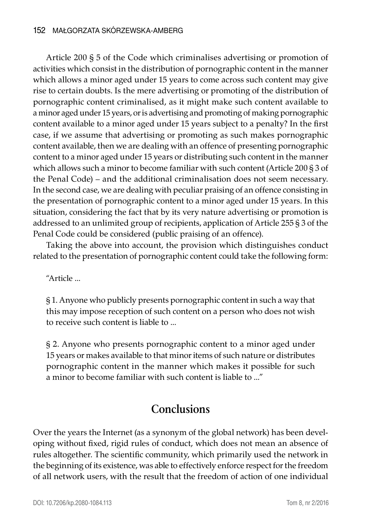#### 152 Małgorzata Skórzewska-Amberg

Article 200 § 5 of the Code which criminalises advertising or promotion of activities which consist in the distribution of pornographic content in the manner which allows a minor aged under 15 years to come across such content may give rise to certain doubts. Is the mere advertising or promoting of the distribution of pornographic content criminalised, as it might make such content available to a minor aged under 15 years, or is advertising and promoting of making pornographic content available to a minor aged under 15 years subject to a penalty? In the first case, if we assume that advertising or promoting as such makes pornographic content available, then we are dealing with an offence of presenting pornographic content to a minor aged under 15 years or distributing such content in the manner which allows such a minor to become familiar with such content (Article 200 § 3 of the Penal Code) – and the additional criminalisation does not seem necessary. In the second case, we are dealing with peculiar praising of an offence consisting in the presentation of pornographic content to a minor aged under 15 years. In this situation, considering the fact that by its very nature advertising or promotion is addressed to an unlimited group of recipients, application of Article 255 § 3 of the Penal Code could be considered (public praising of an offence).

Taking the above into account, the provision which distinguishes conduct related to the presentation of pornographic content could take the following form:

"Article ...

§ 1. Anyone who publicly presents pornographic content in such a way that this may impose reception of such content on a person who does not wish to receive such content is liable to ...

§ 2. Anyone who presents pornographic content to a minor aged under 15 years or makes available to that minor items of such nature or distributes pornographic content in the manner which makes it possible for such a minor to become familiar with such content is liable to ..."

# **Conclusions**

Over the years the Internet (as a synonym of the global network) has been developing without fixed, rigid rules of conduct, which does not mean an absence of rules altogether. The scientific community, which primarily used the network in the beginning of its existence, was able to effectively enforce respect for the freedom of all network users, with the result that the freedom of action of one individual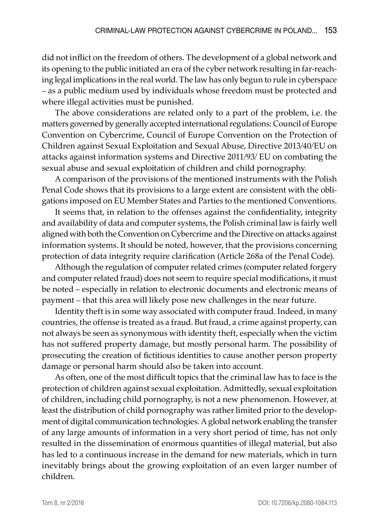did not inflict on the freedom of others. The development of a global network and its opening to the public initiated an era of the cyber network resulting in far-reaching legal implications in the real world. The law has only begun to rule in cyberspace – as a public medium used by individuals whose freedom must be protected and where illegal activities must be punished.

The above considerations are related only to a part of the problem, i.e. the matters governed by generally accepted international regulations: Council of Europe Convention on Cybercrime, Council of Europe Convention on the Protection of Children against Sexual Exploitation and Sexual Abuse, Directive 2013/40/EU on attacks against information systems and Directive 2011/93/ EU on combating the sexual abuse and sexual exploitation of children and child pornography.

A comparison of the provisions of the mentioned instruments with the Polish Penal Code shows that its provisions to a large extent are consistent with the obligations imposed on EU Member States and Parties to the mentioned Conventions.

It seems that, in relation to the offenses against the confidentiality, integrity and availability of data and computer systems, the Polish criminal law is fairly well aligned with both the Convention on Cybercrime and the Directive on attacks against information systems. It should be noted, however, that the provisions concerning protection of data integrity require clarification (Article 268a of the Penal Code).

Although the regulation of computer related crimes (computer related forgery and computer related fraud) does not seem to require special modifications, it must be noted – especially in relation to electronic documents and electronic means of payment – that this area will likely pose new challenges in the near future.

Identity theft is in some way associated with computer fraud. Indeed, in many countries, the offense is treated as a fraud. But fraud, a crime against property, can not always be seen as synonymous with identity theft, especially when the victim has not suffered property damage, but mostly personal harm. The possibility of prosecuting the creation of fictitious identities to cause another person property damage or personal harm should also be taken into account.

As often, one of the most difficult topics that the criminal law has to face is the protection of children against sexual exploitation. Admittedly, sexual exploitation of children, including child pornography, is not a new phenomenon. However, at least the distribution of child pornography was rather limited prior to the development of digital communication technologies. A global network enabling the transfer of any large amounts of information in a very short period of time, has not only resulted in the dissemination of enormous quantities of illegal material, but also has led to a continuous increase in the demand for new materials, which in turn inevitably brings about the growing exploitation of an even larger number of children.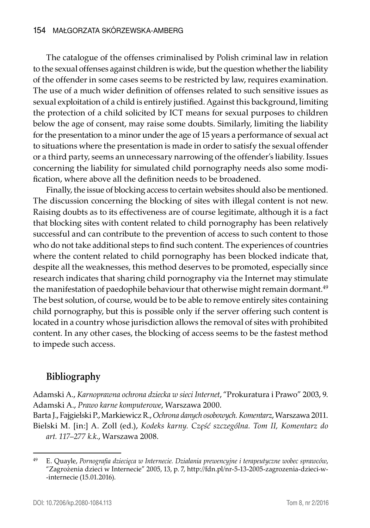The catalogue of the offenses criminalised by Polish criminal law in relation to the sexual offenses against children is wide, but the question whether the liability of the offender in some cases seems to be restricted by law, requires examination. The use of a much wider definition of offenses related to such sensitive issues as sexual exploitation of a child is entirely justified. Against this background, limiting the protection of a child solicited by ICT means for sexual purposes to children below the age of consent, may raise some doubts. Similarly, limiting the liability for the presentation to a minor under the age of 15 years a performance of sexual act to situations where the presentation is made in order to satisfy the sexual offender or a third party, seems an unnecessary narrowing of the offender's liability. Issues concerning the liability for simulated child pornography needs also some modification, where above all the definition needs to be broadened.

Finally, the issue of blocking access to certain websites should also be mentioned. The discussion concerning the blocking of sites with illegal content is not new. Raising doubts as to its effectiveness are of course legitimate, although it is a fact that blocking sites with content related to child pornography has been relatively successful and can contribute to the prevention of access to such content to those who do not take additional steps to find such content. The experiences of countries where the content related to child pornography has been blocked indicate that, despite all the weaknesses, this method deserves to be promoted, especially since research indicates that sharing child pornography via the Internet may stimulate the manifestation of paedophile behaviour that otherwise might remain dormant.<sup>49</sup> The best solution, of course, would be to be able to remove entirely sites containing child pornography, but this is possible only if the server offering such content is located in a country whose jurisdiction allows the removal of sites with prohibited content. In any other cases, the blocking of access seems to be the fastest method to impede such access.

## **Bibliography**

Adamski A., *Karnoprawna ochrona dziecka w sieci Internet*, "Prokuratura i Prawo" 2003, 9. Adamski A., *Prawo karne komputerowe*, Warszawa 2000.

Barta J., Fajgielski P., Markiewicz R., *Ochrona danych osobowych. Komentarz*, Warszawa 2011. Bielski M. [in:] A. Zoll (ed.), *Kodeks karny. Część szczególna. Tom II, Komentarz do art. 117–277 k.k.*, Warszawa 2008.

<sup>49</sup> E. Quayle, *Pornografia dziecięca w Internecie. Działania prewencyjne i terapeutyczne wobec sprawców*, "Zagrożenia dzieci w Internecie" 2005, 13, p. 7, http://fdn.pl/nr-5-13-2005-zagrozenia-dzieci-w- -internecie (15.01.2016).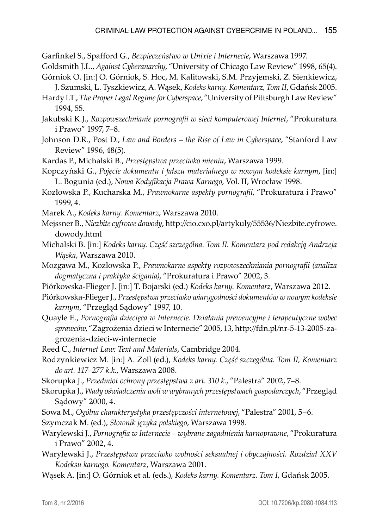Garfinkel S., Spafford G., *Bezpieczeństwo w Unixie i Internecie*, Warszawa 1997.

Goldsmith J.L., *Against Cyberanarchy*, "University of Chicago Law Review" 1998, 65(4).

- Górniok O. [in:] O. Górniok, S. Hoc, M. Kalitowski, S.M. Przyjemski, Z. Sienkiewicz, J. Szumski, L. Tyszkiewicz, A. Wąsek, *Kodeks karny. Komentarz, Tom II*, Gdańsk 2005.
- Hardy I.T., *The Proper Legal Regime for Cyberspace*, "University of Pittsburgh Law Review" 1994, 55.
- Jakubski K.J., *Rozpowszechnianie pornografii w sieci komputerowej Internet*, "Prokuratura i Prawo" 1997, 7–8.
- Johnson D.R., Post D., *Law and Borders the Rise of Law in Cyberspace*, "Stanford Law Review" 1996, 48(5).
- Kardas P., Michalski B., *Przestępstwa przeciwko mieniu*, Warszawa 1999.
- Kopczyński G., *Pojęcie dokumentu i fałszu materialnego w nowym kodeksie karnym*, [in:] L. Bogunia (ed.), *Nowa Kodyfikacja Prawa Karnego*, Vol. II, Wrocław 1998.
- Kozłowska P., Kucharska M., *Prawnokarne aspekty pornografii*, "Prokuratura i Prawo" 1999, 4.
- Marek A., *Kodeks karny. Komentarz*, Warszawa 2010.
- Mejssner B., *Niezbite cyfrowe dowody*, http://cio.cxo.pl/artykuly/55536/Niezbite.cyfrowe. dowody.html
- Michalski B. [in:] *Kodeks karny. Część szczególna. Tom II. Komentarz pod redakcją Andrzeja Wąska*, Warszawa 2010.
- Mozgawa M., Kozłowska P., *Prawnokarne aspekty rozpowszechniania pornografii (analiza dogmatyczna i praktyka ścigania)*, "Prokuratura i Prawo" 2002, 3.
- Piórkowska-Flieger J. [in:] T. Bojarski (ed.) *Kodeks karny. Komentarz*, Warszawa 2012.
- Piórkowska-Flieger J., *Przestępstwa przeciwko wiarygodności dokumentów w nowym kodeksie karnym*, "Przegląd Sądowy" 1997, 10.
- Quayle E., *Pornografia dziecięca w Internecie. Działania prewencyjne i terapeutyczne wobec sprawców*, "Zagrożenia dzieci w Internecie" 2005, 13, http://fdn.pl/nr-5-13-2005-zagrozenia-dzieci-w-internecie
- Reed C., *Internet Law: Text and Materials*, Cambridge 2004.
- Rodzynkiewicz M. [in:] A. Zoll (ed.), *Kodeks karny. Część szczególna. Tom II, Komentarz do art. 117–277 k.k.*, Warszawa 2008.
- Skorupka J., *Przedmiot ochrony przestępstwa z art. 310 k.*, "Palestra" 2002, 7–8.
- Skorupka J., *Wady oświadczenia woli w wybranych przestępstwach gospodarczych*, "Przegląd Sądowy" 2000, 4.
- Sowa M., *Ogólna charakterystyka przestępczości internetowej*, "Palestra" 2001, 5–6.
- Szymczak M. (ed.), *Słownik języka polskiego*, Warszawa 1998.
- Warylewski J., *Pornografia w Internecie wybrane zagadnienia karnoprawne*, "Prokuratura i Prawo" 2002, 4.
- Warylewski J., *Przestępstwa przeciwko wolności seksualnej i obyczajności. Rozdział XXV Kodeksu karnego. Komentarz*, Warszawa 2001.
- Wąsek A. [in:] O. Górniok et al. (eds.), *Kodeks karny. Komentarz. Tom I*, Gdańsk 2005.